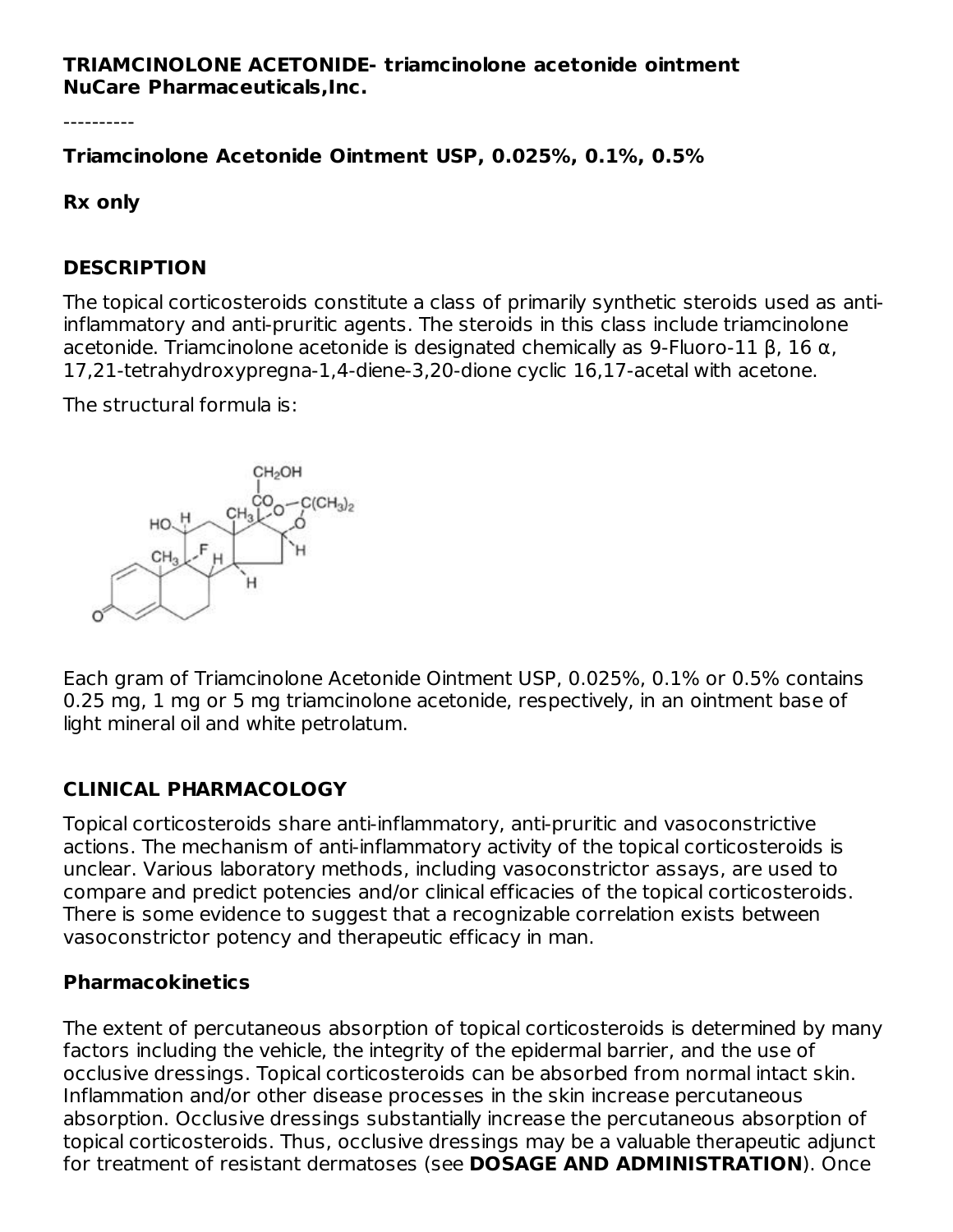### **TRIAMCINOLONE ACETONIDE- triamcinolone acetonide ointment NuCare Pharmaceuticals,Inc.**

----------

**Triamcinolone Acetonide Ointment USP, 0.025%, 0.1%, 0.5%**

#### **Rx only**

### **DESCRIPTION**

The topical corticosteroids constitute a class of primarily synthetic steroids used as antiinflammatory and anti-pruritic agents. The steroids in this class include triamcinolone acetonide. Triamcinolone acetonide is designated chemically as 9-Fluoro-11 β, 16 α, 17,21-tetrahydroxypregna-1,4-diene-3,20-dione cyclic 16,17-acetal with acetone.

The structural formula is:



Each gram of Triamcinolone Acetonide Ointment USP, 0.025%, 0.1% or 0.5% contains 0.25 mg, 1 mg or 5 mg triamcinolone acetonide, respectively, in an ointment base of light mineral oil and white petrolatum.

## **CLINICAL PHARMACOLOGY**

Topical corticosteroids share anti-inflammatory, anti-pruritic and vasoconstrictive actions. The mechanism of anti-inflammatory activity of the topical corticosteroids is unclear. Various laboratory methods, including vasoconstrictor assays, are used to compare and predict potencies and/or clinical efficacies of the topical corticosteroids. There is some evidence to suggest that a recognizable correlation exists between vasoconstrictor potency and therapeutic efficacy in man.

### **Pharmacokinetics**

The extent of percutaneous absorption of topical corticosteroids is determined by many factors including the vehicle, the integrity of the epidermal barrier, and the use of occlusive dressings. Topical corticosteroids can be absorbed from normal intact skin. Inflammation and/or other disease processes in the skin increase percutaneous absorption. Occlusive dressings substantially increase the percutaneous absorption of topical corticosteroids. Thus, occlusive dressings may be a valuable therapeutic adjunct for treatment of resistant dermatoses (see **DOSAGE AND ADMINISTRATION**). Once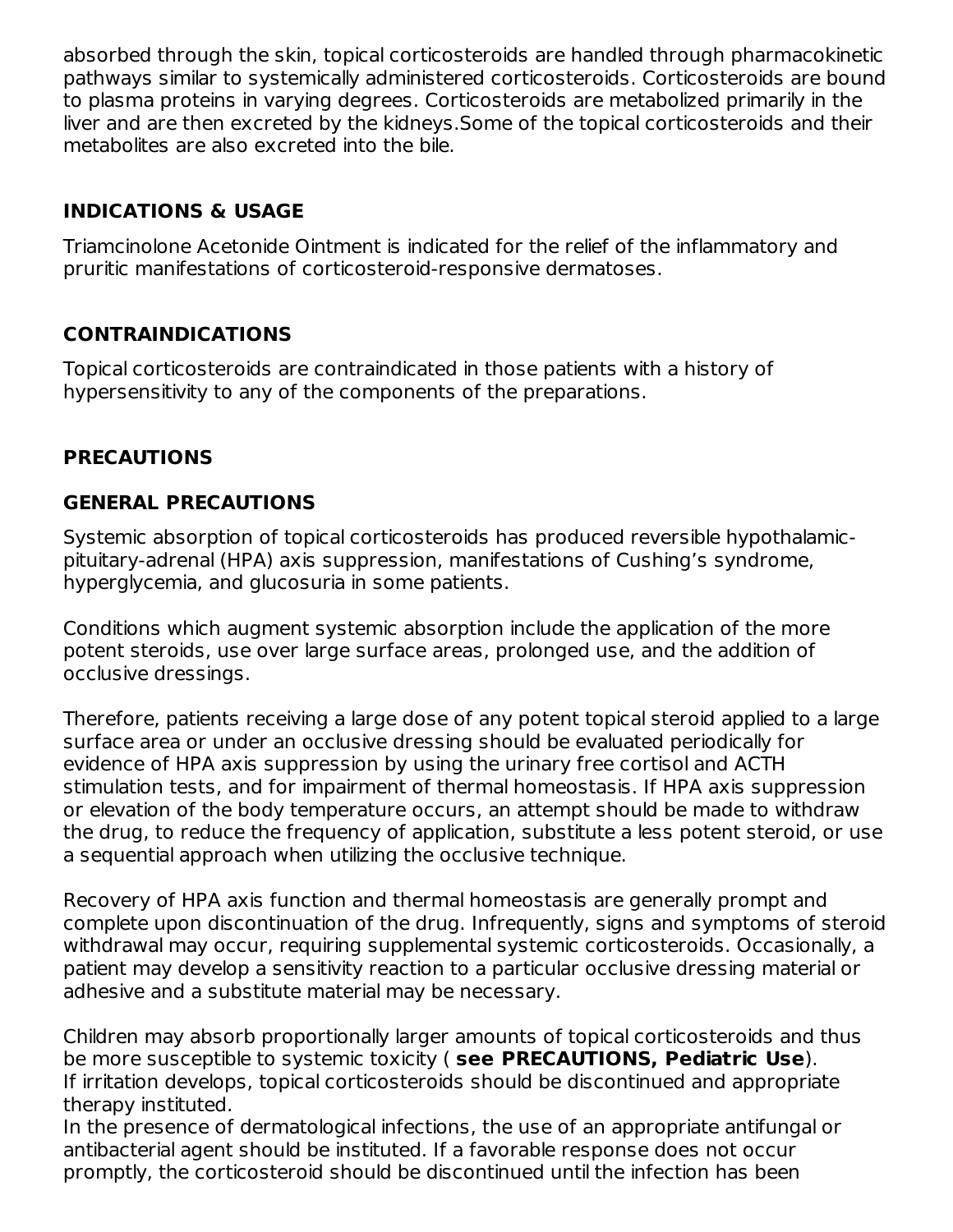absorbed through the skin, topical corticosteroids are handled through pharmacokinetic pathways similar to systemically administered corticosteroids. Corticosteroids are bound to plasma proteins in varying degrees. Corticosteroids are metabolized primarily in the liver and are then excreted by the kidneys.Some of the topical corticosteroids and their metabolites are also excreted into the bile.

### **INDICATIONS & USAGE**

Triamcinolone Acetonide Ointment is indicated for the relief of the inflammatory and pruritic manifestations of corticosteroid-responsive dermatoses.

## **CONTRAINDICATIONS**

Topical corticosteroids are contraindicated in those patients with a history of hypersensitivity to any of the components of the preparations.

## **PRECAUTIONS**

## **GENERAL PRECAUTIONS**

Systemic absorption of topical corticosteroids has produced reversible hypothalamicpituitary-adrenal (HPA) axis suppression, manifestations of Cushing's syndrome, hyperglycemia, and glucosuria in some patients.

Conditions which augment systemic absorption include the application of the more potent steroids, use over large surface areas, prolonged use, and the addition of occlusive dressings.

Therefore, patients receiving a large dose of any potent topical steroid applied to a large surface area or under an occlusive dressing should be evaluated periodically for evidence of HPA axis suppression by using the urinary free cortisol and ACTH stimulation tests, and for impairment of thermal homeostasis. If HPA axis suppression or elevation of the body temperature occurs, an attempt should be made to withdraw the drug, to reduce the frequency of application, substitute a less potent steroid, or use a sequential approach when utilizing the occlusive technique.

Recovery of HPA axis function and thermal homeostasis are generally prompt and complete upon discontinuation of the drug. Infrequently, signs and symptoms of steroid withdrawal may occur, requiring supplemental systemic corticosteroids. Occasionally, a patient may develop a sensitivity reaction to a particular occlusive dressing material or adhesive and a substitute material may be necessary.

Children may absorb proportionally larger amounts of topical corticosteroids and thus be more susceptible to systemic toxicity ( **see PRECAUTIONS, Pediatric Use**). If irritation develops, topical corticosteroids should be discontinued and appropriate therapy instituted.

In the presence of dermatological infections, the use of an appropriate antifungal or antibacterial agent should be instituted. If a favorable response does not occur promptly, the corticosteroid should be discontinued until the infection has been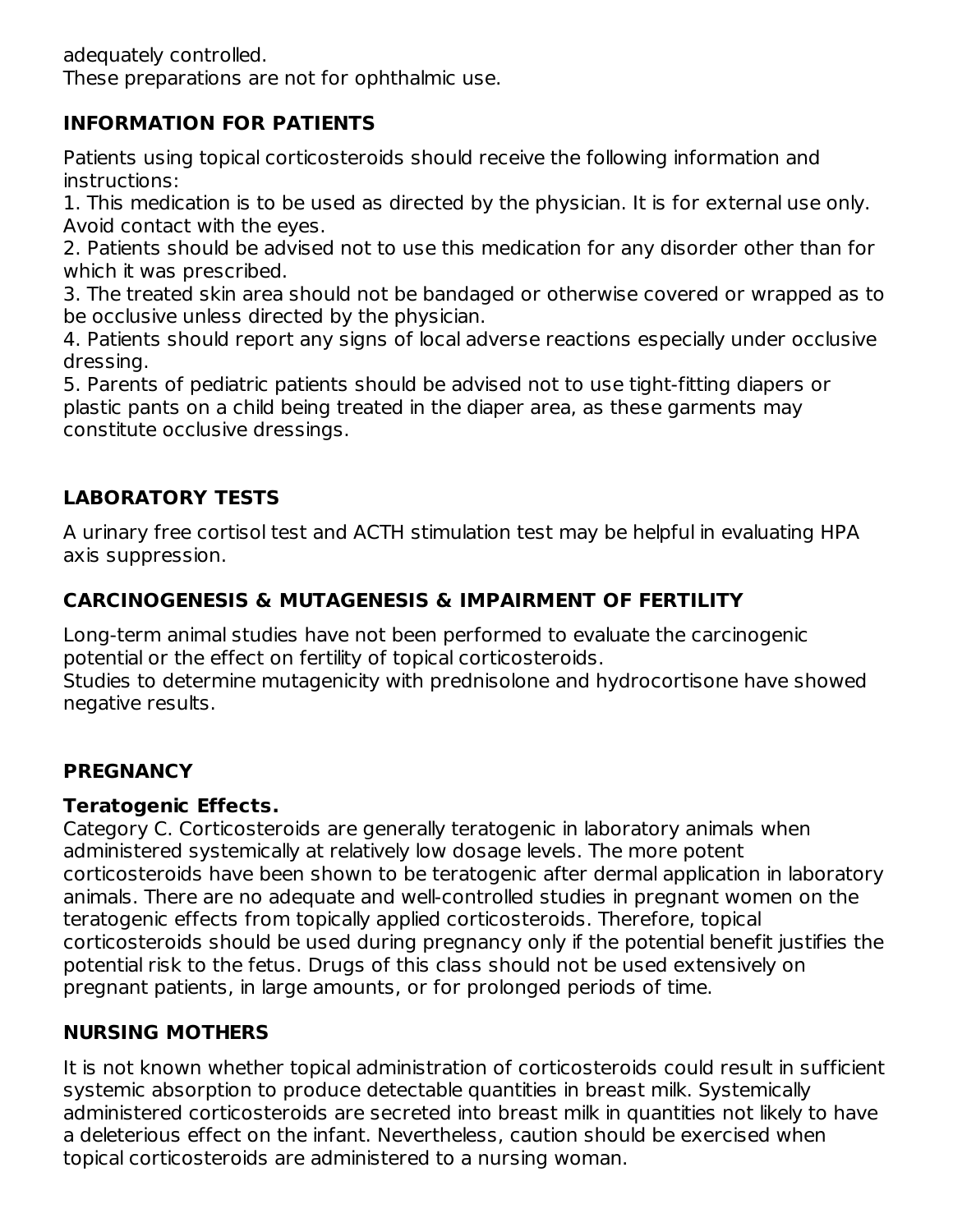adequately controlled. These preparations are not for ophthalmic use.

## **INFORMATION FOR PATIENTS**

Patients using topical corticosteroids should receive the following information and instructions:

1. This medication is to be used as directed by the physician. It is for external use only. Avoid contact with the eyes.

2. Patients should be advised not to use this medication for any disorder other than for which it was prescribed.

3. The treated skin area should not be bandaged or otherwise covered or wrapped as to be occlusive unless directed by the physician.

4. Patients should report any signs of local adverse reactions especially under occlusive dressing.

5. Parents of pediatric patients should be advised not to use tight-fitting diapers or plastic pants on a child being treated in the diaper area, as these garments may constitute occlusive dressings.

## **LABORATORY TESTS**

A urinary free cortisol test and ACTH stimulation test may be helpful in evaluating HPA axis suppression.

# **CARCINOGENESIS & MUTAGENESIS & IMPAIRMENT OF FERTILITY**

Long-term animal studies have not been performed to evaluate the carcinogenic potential or the effect on fertility of topical corticosteroids.

Studies to determine mutagenicity with prednisolone and hydrocortisone have showed negative results.

## **PREGNANCY**

## **Teratogenic Effects.**

Category C. Corticosteroids are generally teratogenic in laboratory animals when administered systemically at relatively low dosage levels. The more potent corticosteroids have been shown to be teratogenic after dermal application in laboratory animals. There are no adequate and well-controlled studies in pregnant women on the teratogenic effects from topically applied corticosteroids. Therefore, topical corticosteroids should be used during pregnancy only if the potential benefit justifies the potential risk to the fetus. Drugs of this class should not be used extensively on pregnant patients, in large amounts, or for prolonged periods of time.

## **NURSING MOTHERS**

It is not known whether topical administration of corticosteroids could result in sufficient systemic absorption to produce detectable quantities in breast milk. Systemically administered corticosteroids are secreted into breast milk in quantities not likely to have a deleterious effect on the infant. Nevertheless, caution should be exercised when topical corticosteroids are administered to a nursing woman.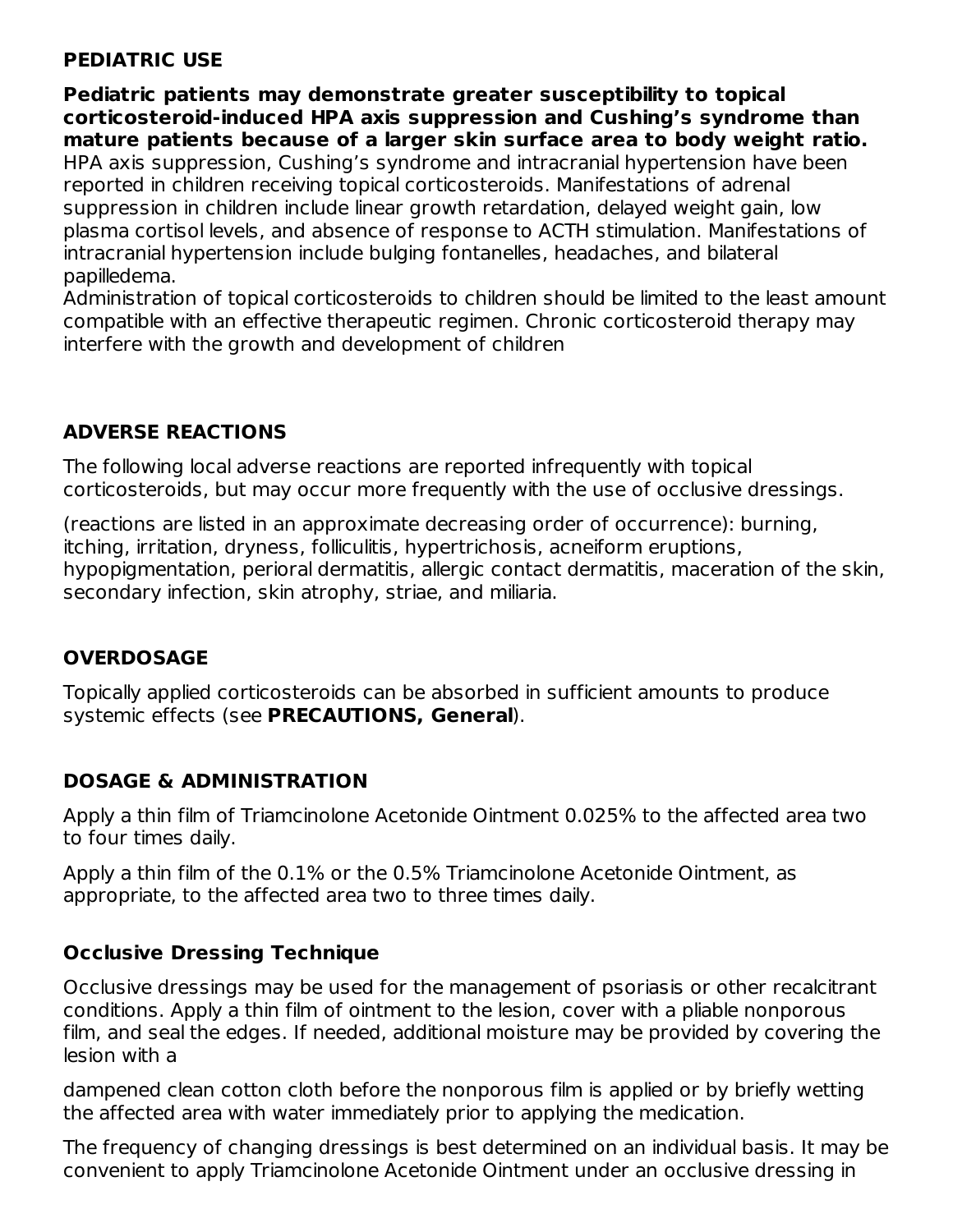### **PEDIATRIC USE**

**Pediatric patients may demonstrate greater susceptibility to topical corticosteroid-induced HPA axis suppression and Cushing's syndrome than mature patients because of a larger skin surface area to body weight ratio.**

HPA axis suppression, Cushing's syndrome and intracranial hypertension have been reported in children receiving topical corticosteroids. Manifestations of adrenal suppression in children include linear growth retardation, delayed weight gain, low plasma cortisol levels, and absence of response to ACTH stimulation. Manifestations of intracranial hypertension include bulging fontanelles, headaches, and bilateral papilledema.

Administration of topical corticosteroids to children should be limited to the least amount compatible with an effective therapeutic regimen. Chronic corticosteroid therapy may interfere with the growth and development of children

## **ADVERSE REACTIONS**

The following local adverse reactions are reported infrequently with topical corticosteroids, but may occur more frequently with the use of occlusive dressings.

(reactions are listed in an approximate decreasing order of occurrence): burning, itching, irritation, dryness, folliculitis, hypertrichosis, acneiform eruptions, hypopigmentation, perioral dermatitis, allergic contact dermatitis, maceration of the skin, secondary infection, skin atrophy, striae, and miliaria.

## **OVERDOSAGE**

Topically applied corticosteroids can be absorbed in sufficient amounts to produce systemic effects (see **PRECAUTIONS, General**).

## **DOSAGE & ADMINISTRATION**

Apply a thin film of Triamcinolone Acetonide Ointment 0.025% to the affected area two to four times daily.

Apply a thin film of the 0.1% or the 0.5% Triamcinolone Acetonide Ointment, as appropriate, to the affected area two to three times daily.

## **Occlusive Dressing Technique**

Occlusive dressings may be used for the management of psoriasis or other recalcitrant conditions. Apply a thin film of ointment to the lesion, cover with a pliable nonporous film, and seal the edges. If needed, additional moisture may be provided by covering the lesion with a

dampened clean cotton cloth before the nonporous film is applied or by briefly wetting the affected area with water immediately prior to applying the medication.

The frequency of changing dressings is best determined on an individual basis. It may be convenient to apply Triamcinolone Acetonide Ointment under an occlusive dressing in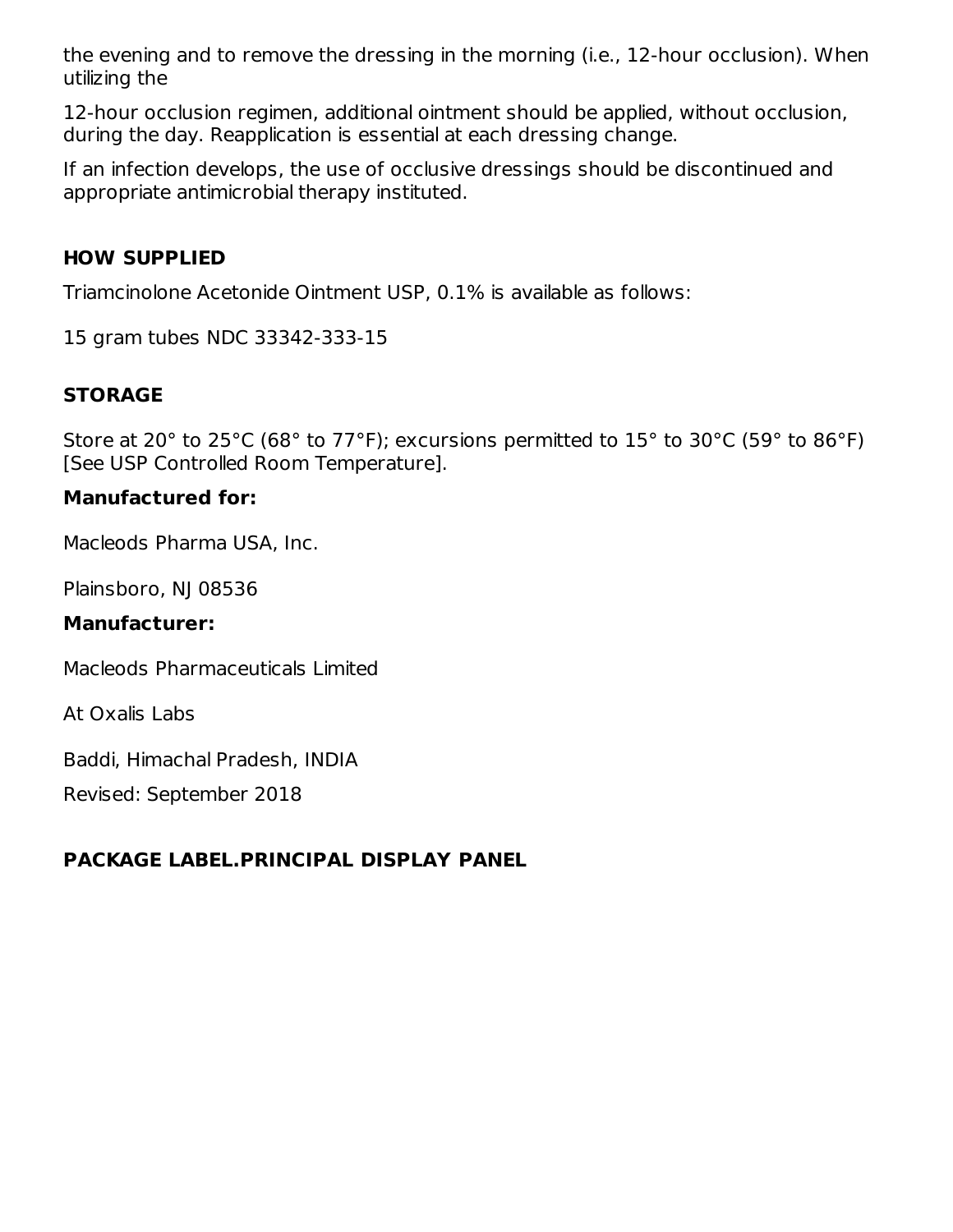the evening and to remove the dressing in the morning (i.e., 12-hour occlusion). When utilizing the

12-hour occlusion regimen, additional ointment should be applied, without occlusion, during the day. Reapplication is essential at each dressing change.

If an infection develops, the use of occlusive dressings should be discontinued and appropriate antimicrobial therapy instituted.

### **HOW SUPPLIED**

Triamcinolone Acetonide Ointment USP, 0.1% is available as follows:

15 gram tubes NDC 33342-333-15

### **STORAGE**

Store at 20° to 25°C (68° to 77°F); excursions permitted to 15° to 30°C (59° to 86°F) [See USP Controlled Room Temperature].

### **Manufactured for:**

Macleods Pharma USA, Inc.

Plainsboro, NJ 08536

### **Manufacturer:**

Macleods Pharmaceuticals Limited

At Oxalis Labs

Baddi, Himachal Pradesh, INDIA

Revised: September 2018

### **PACKAGE LABEL.PRINCIPAL DISPLAY PANEL**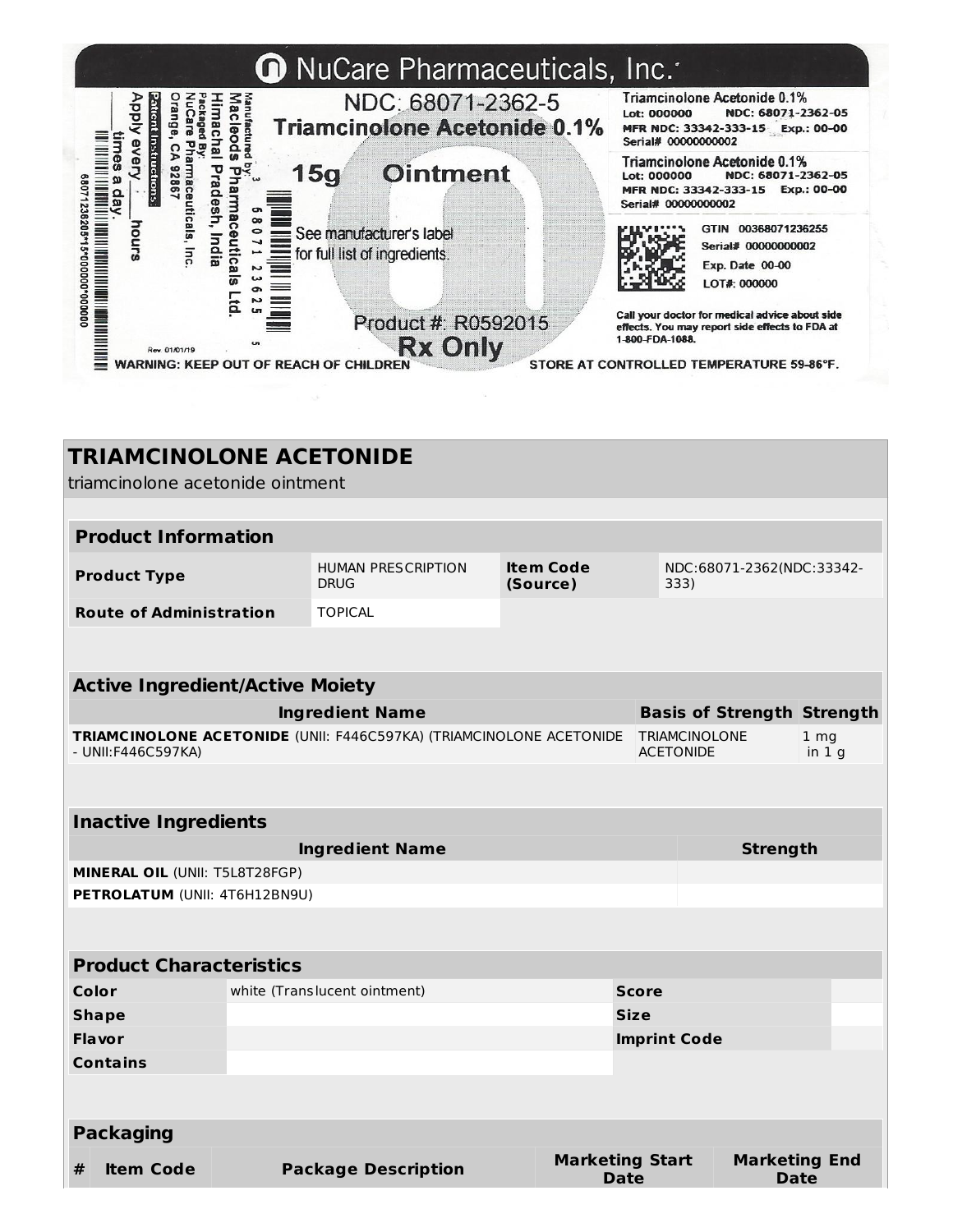

| <b>TRIAMCINOLONE ACETONIDE</b><br>triamcinolone acetonide ointment                         |                                          |                              |                              |              |                                          |                              |  |  |  |  |
|--------------------------------------------------------------------------------------------|------------------------------------------|------------------------------|------------------------------|--------------|------------------------------------------|------------------------------|--|--|--|--|
|                                                                                            |                                          |                              |                              |              |                                          |                              |  |  |  |  |
| <b>Product Information</b>                                                                 |                                          |                              |                              |              |                                          |                              |  |  |  |  |
| <b>Product Type</b>                                                                        | <b>HUMAN PRESCRIPTION</b><br><b>DRUG</b> |                              | <b>Item Code</b><br>(Source) |              | NDC:68071-2362(NDC:33342-<br>333)        |                              |  |  |  |  |
| <b>Route of Administration</b>                                                             |                                          | <b>TOPICAL</b>               |                              |              |                                          |                              |  |  |  |  |
|                                                                                            |                                          |                              |                              |              |                                          |                              |  |  |  |  |
| <b>Active Ingredient/Active Moiety</b>                                                     |                                          |                              |                              |              |                                          |                              |  |  |  |  |
|                                                                                            |                                          | <b>Ingredient Name</b>       |                              |              | <b>Basis of Strength Strength</b>        |                              |  |  |  |  |
| TRIAMCINOLONE ACETONIDE (UNII: F446C597KA) (TRIAMCINOLONE ACETONIDE<br>- UNII: F446C597KA) |                                          |                              |                              |              | <b>TRIAMCINOLONE</b><br><b>ACETONIDE</b> | 1 mg<br>in $1q$              |  |  |  |  |
|                                                                                            |                                          |                              |                              |              |                                          |                              |  |  |  |  |
| <b>Inactive Ingredients</b>                                                                |                                          |                              |                              |              |                                          |                              |  |  |  |  |
|                                                                                            | <b>Ingredient Name</b>                   |                              | <b>Strength</b>              |              |                                          |                              |  |  |  |  |
| <b>MINERAL OIL (UNII: T5L8T28FGP)</b>                                                      |                                          |                              |                              |              |                                          |                              |  |  |  |  |
| PETROLATUM (UNII: 4T6H12BN9U)                                                              |                                          |                              |                              |              |                                          |                              |  |  |  |  |
|                                                                                            |                                          |                              |                              |              |                                          |                              |  |  |  |  |
| <b>Product Characteristics</b>                                                             |                                          |                              |                              |              |                                          |                              |  |  |  |  |
| Color                                                                                      |                                          | white (Translucent ointment) |                              | <b>Score</b> |                                          |                              |  |  |  |  |
| <b>Shape</b>                                                                               |                                          |                              |                              | <b>Size</b>  |                                          |                              |  |  |  |  |
| <b>Flavor</b>                                                                              |                                          |                              |                              |              | <b>Imprint Code</b>                      |                              |  |  |  |  |
| <b>Contains</b>                                                                            |                                          |                              |                              |              |                                          |                              |  |  |  |  |
|                                                                                            |                                          |                              |                              |              |                                          |                              |  |  |  |  |
| <b>Packaging</b>                                                                           |                                          |                              |                              |              |                                          |                              |  |  |  |  |
| <b>Item Code</b><br>#                                                                      |                                          | <b>Package Description</b>   | <b>Marketing Start</b>       | Date         |                                          | <b>Marketing End</b><br>Date |  |  |  |  |